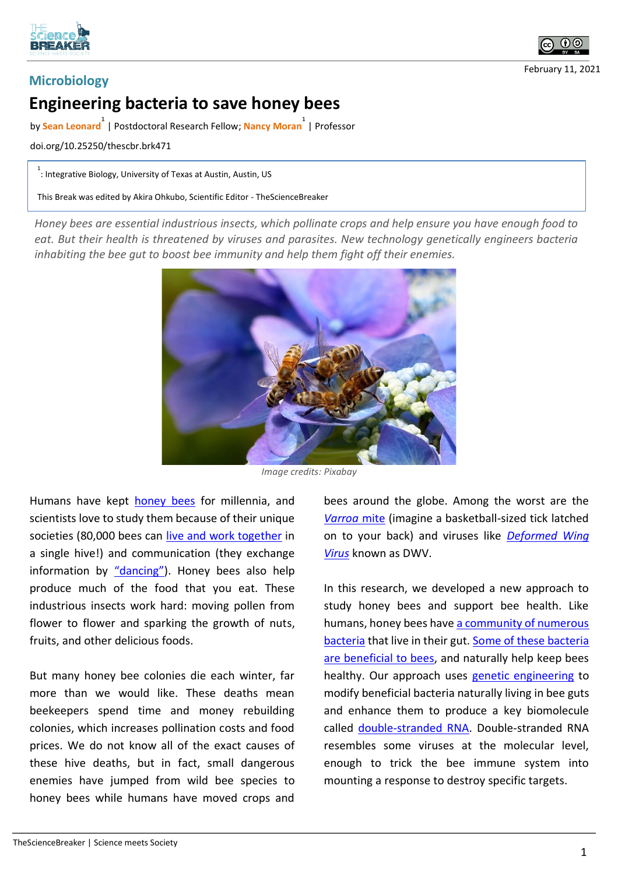



February 11, 2021

## **Engineering bacteria to save honey bees**

by **Sean Leonard 1** | Postdoctoral Research Fellow; **Nancy Moran 1** | Professor

doi.org/10.25250/thescbr.brk471

 $1 \over 1$ : Integrative Biology, University of Texas at Austin, Austin, US

This Break was edited by Akira Ohkubo, Scientific Editor - TheScienceBreaker

*Honey bees are essential industrious insects, which pollinate crops and help ensure you have enough food to eat. But their health is threatened by viruses and parasites. New technology genetically engineers bacteria inhabiting the bee gut to boost bee immunity and help them fight off their enemies.*



*Image credits: Pixabay*

Humans have kept honey bees for millennia, and scientists love to study them because of their unique societies (80,000 bees can live and work together in a single hive!) and communication (they exchange information by "dancing"). Honey bees also help produce much of the food that you eat. These industrious insects work hard: moving pollen from flower to flower and sparking the growth of nuts, fruits, and other delicious foods.

But many honey bee colonies die each winter, far more than we would like. These deaths mean beekeepers spend time and money rebuilding colonies, which increases pollination costs and food prices. We do not know all of the exact causes of these hive deaths, but in fact, small dangerous enemies have jumped from wild bee species to honey bees while humans have moved crops and bees around the globe. Among the worst are the *Varroa* mite (imagine a basketball-sized tick latched on to your back) and viruses like *Deformed Wing Virus* known as DWV.

In this research, we developed a new approach to study honey bees and support bee health. Like humans, honey bees have a community of numerous bacteria that live in their gut. Some of these bacteria are beneficial to bees, and naturally help keep bees healthy. Our approach uses genetic engineering to modify beneficial bacteria naturally living in bee guts and enhance them to produce a key biomolecule called double-stranded RNA. Double-stranded RNA resembles some viruses at the molecular level, enough to trick the bee immune system into mounting a response to destroy specific targets.